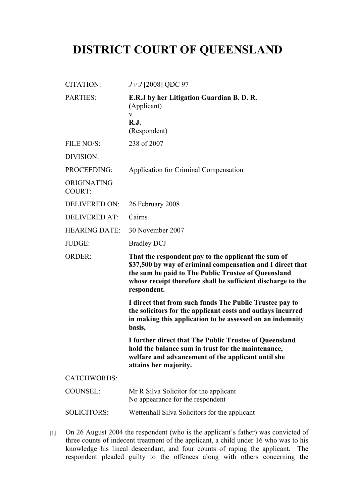## **DISTRICT COURT OF QUEENSLAND**

| <b>CITATION:</b>             | $JvJ$ [2008] QDC 97                                                                                                                                                                           |
|------------------------------|-----------------------------------------------------------------------------------------------------------------------------------------------------------------------------------------------|
| <b>PARTIES:</b>              | E.R.J by her Litigation Guardian B.D.R.<br>(Applicant)<br>V<br><b>R.J.</b><br>(Respondent)                                                                                                    |
| FILE NO/S:                   | 238 of 2007                                                                                                                                                                                   |
| DIVISION:                    |                                                                                                                                                                                               |
| PROCEEDING:                  | Application for Criminal Compensation                                                                                                                                                         |
| ORIGINATING<br><b>COURT:</b> |                                                                                                                                                                                               |
| <b>DELIVERED ON:</b>         | 26 February 2008                                                                                                                                                                              |
| <b>DELIVERED AT:</b>         | Cairns                                                                                                                                                                                        |
| <b>HEARING DATE:</b>         | 30 November 2007                                                                                                                                                                              |
| JUDGE:                       | <b>Bradley DCJ</b>                                                                                                                                                                            |
| <b>ORDER:</b>                | That the respondent pay to the applicant the sum of<br>\$37,500 by way of criminal compensation and I direct that                                                                             |
|                              | the sum be paid to The Public Trustee of Queensland<br>whose receipt therefore shall be sufficient discharge to the<br>respondent.                                                            |
|                              | I direct that from such funds The Public Trustee pay to<br>the solicitors for the applicant costs and outlays incurred<br>in making this application to be assessed on an indemnity<br>basis, |
|                              | I further direct that The Public Trustee of Queensland<br>hold the balance sum in trust for the maintenance,<br>welfare and advancement of the applicant until she<br>attains her majority.   |
| <b>CATCHWORDS:</b>           |                                                                                                                                                                                               |
| <b>COUNSEL:</b>              | Mr R Silva Solicitor for the applicant<br>No appearance for the respondent                                                                                                                    |

[1] On 26 August 2004 the respondent (who is the applicant's father) was convicted of three counts of indecent treatment of the applicant, a child under 16 who was to his knowledge his lineal descendant, and four counts of raping the applicant. The respondent pleaded guilty to the offences along with others concerning the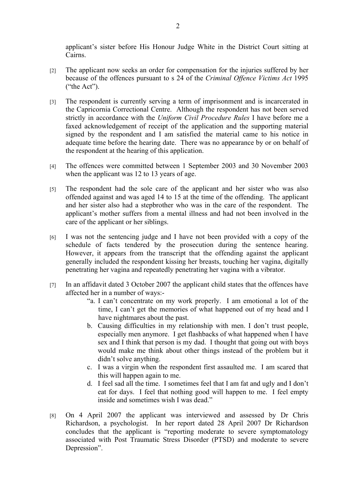applicant's sister before His Honour Judge White in the District Court sitting at Cairns.

- [2] The applicant now seeks an order for compensation for the injuries suffered by her because of the offences pursuant to s 24 of the *Criminal Offence Victims Act* 1995 ("the Act").
- [3] The respondent is currently serving a term of imprisonment and is incarcerated in the Capricornia Correctional Centre. Although the respondent has not been served strictly in accordance with the *Uniform Civil Procedure Rules* I have before me a faxed acknowledgement of receipt of the application and the supporting material signed by the respondent and I am satisfied the material came to his notice in adequate time before the hearing date. There was no appearance by or on behalf of the respondent at the hearing of this application.
- [4] The offences were committed between 1 September 2003 and 30 November 2003 when the applicant was 12 to 13 years of age.
- [5] The respondent had the sole care of the applicant and her sister who was also offended against and was aged 14 to 15 at the time of the offending. The applicant and her sister also had a stepbrother who was in the care of the respondent. The applicant's mother suffers from a mental illness and had not been involved in the care of the applicant or her siblings.
- [6] I was not the sentencing judge and I have not been provided with a copy of the schedule of facts tendered by the prosecution during the sentence hearing. However, it appears from the transcript that the offending against the applicant generally included the respondent kissing her breasts, touching her vagina, digitally penetrating her vagina and repeatedly penetrating her vagina with a vibrator.
- [7] In an affidavit dated 3 October 2007 the applicant child states that the offences have affected her in a number of ways:-
	- "a. I can't concentrate on my work properly. I am emotional a lot of the time, I can't get the memories of what happened out of my head and I have nightmares about the past.
	- b. Causing difficulties in my relationship with men. I don't trust people, especially men anymore. I get flashbacks of what happened when I have sex and I think that person is my dad. I thought that going out with boys would make me think about other things instead of the problem but it didn't solve anything.
	- c. I was a virgin when the respondent first assaulted me. I am scared that this will happen again to me.
	- d. I feel sad all the time. I sometimes feel that I am fat and ugly and I don't eat for days. I feel that nothing good will happen to me. I feel empty inside and sometimes wish I was dead."
- [8] On 4 April 2007 the applicant was interviewed and assessed by Dr Chris Richardson, a psychologist. In her report dated 28 April 2007 Dr Richardson concludes that the applicant is "reporting moderate to severe symptomatology associated with Post Traumatic Stress Disorder (PTSD) and moderate to severe Depression".